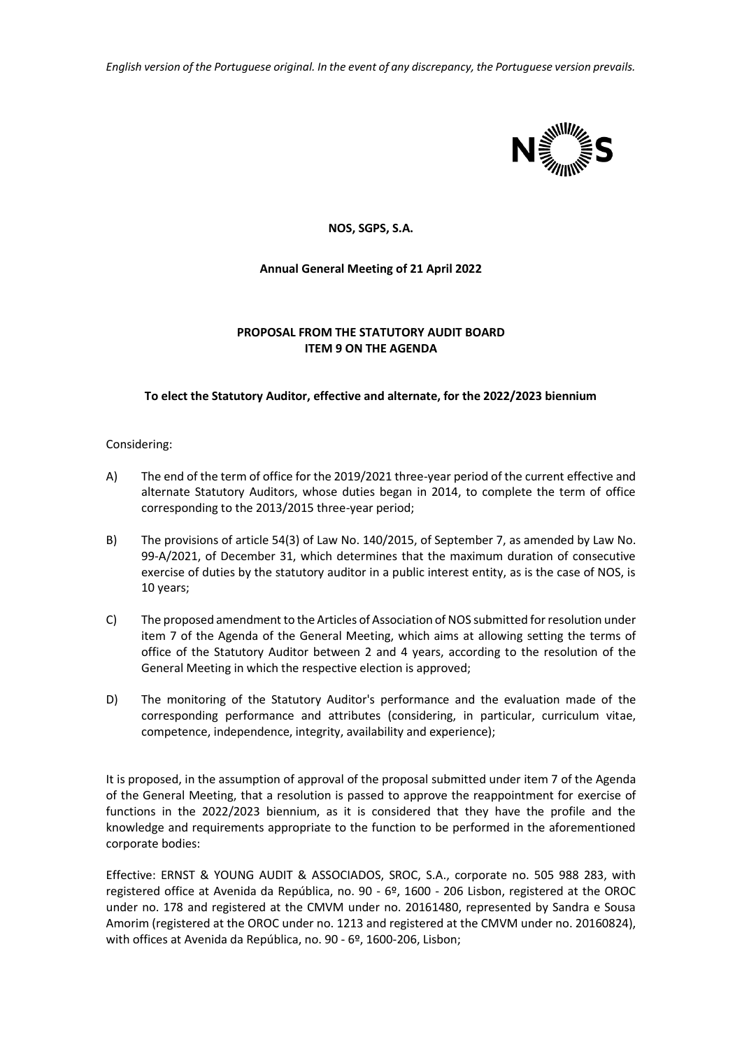*English version of the Portuguese original. In the event of any discrepancy, the Portuguese version prevails.*



# **NOS, SGPS, S.A.**

# **Annual General Meeting of 21 April 2022**

# **PROPOSAL FROM THE STATUTORY AUDIT BOARD ITEM 9 ON THE AGENDA**

### **To elect the Statutory Auditor, effective and alternate, for the 2022/2023 biennium**

#### Considering:

- A) The end of the term of office for the 2019/2021 three-year period of the current effective and alternate Statutory Auditors, whose duties began in 2014, to complete the term of office corresponding to the 2013/2015 three-year period;
- B) The provisions of article 54(3) of Law No. 140/2015, of September 7, as amended by Law No. 99-A/2021, of December 31, which determines that the maximum duration of consecutive exercise of duties by the statutory auditor in a public interest entity, as is the case of NOS, is 10 years;
- C) The proposed amendment to the Articles of Association of NOS submitted for resolution under item 7 of the Agenda of the General Meeting, which aims at allowing setting the terms of office of the Statutory Auditor between 2 and 4 years, according to the resolution of the General Meeting in which the respective election is approved;
- D) The monitoring of the Statutory Auditor's performance and the evaluation made of the corresponding performance and attributes (considering, in particular, curriculum vitae, competence, independence, integrity, availability and experience);

It is proposed, in the assumption of approval of the proposal submitted under item 7 of the Agenda of the General Meeting, that a resolution is passed to approve the reappointment for exercise of functions in the 2022/2023 biennium, as it is considered that they have the profile and the knowledge and requirements appropriate to the function to be performed in the aforementioned corporate bodies:

Effective: ERNST & YOUNG AUDIT & ASSOCIADOS, SROC, S.A., corporate no. 505 988 283, with registered office at Avenida da República, no. 90 - 6º, 1600 - 206 Lisbon, registered at the OROC under no. 178 and registered at the CMVM under no. 20161480, represented by Sandra e Sousa Amorim (registered at the OROC under no. 1213 and registered at the CMVM under no. 20160824), with offices at Avenida da República, no. 90 - 6º, 1600-206, Lisbon;